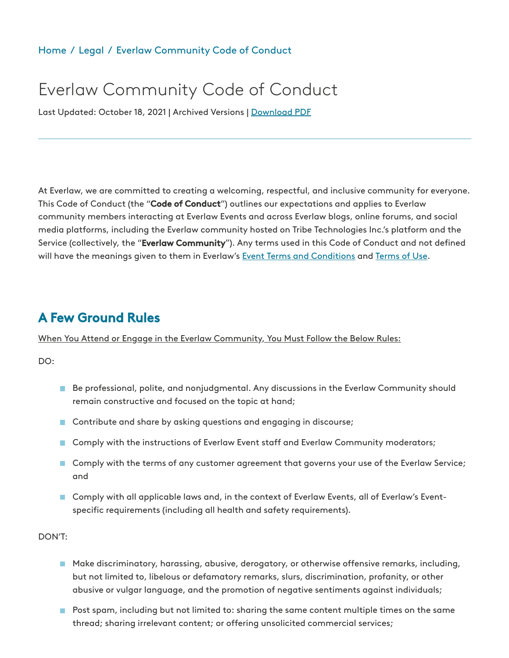#### [Home](https://www.everlaw.com/) / [Legal](https://www.everlaw.com/legal-overview) / Everlaw [Community](https://www.everlaw.com/everlaw-community-code-of-conduct/) Code of Conduct

# Everlaw Community Code of Conduct

Last Updated: October 18, 2021 | Archived Versions | Download PDF

At Everlaw, we are committed to creating a welcoming, respectful, and inclusive community for everyone. This Code of Conduct (the "Code of Conduct") outlines our expectations and applies to Everlaw community members interacting at Everlaw Events and across Everlaw blogs, online forums, and social media platforms, including the Everlaw community hosted on Tribe Technologies Inc.'s platform and the Service (collectively, the "Everlaw Community"). Any terms used in this Code of Conduct and not defined will have the meanings given to them in Everlaw's Event Terms and [Conditions](https://everlaw.com/everlaw-event-terms-and-conditions/) and [Terms](https://everlaw.com/terms-of-use/) of Use.

## A Few Ground Rules

When You Attend or Engage in the Everlaw Community, You Must Follow the Below Rules:

DO:

- **Be professional, polite, and nonjudgmental. Any discussions in the Everlaw Community should** remain constructive and focused on the topic at hand;
- Contribute and share by asking questions and engaging in discourse;
- **Comply with the instructions of Everlaw Event staff and Everlaw Community moderators;**
- **Comply with the terms of any customer agreement that governs your use of the Everlaw Service;** and
- **Comply with all applicable laws and, in the context of Everlaw Events, all of Everlaw's Event**specific requirements (including all health and safety requirements).

DON'T:

- **Make discriminatory, harassing, abusive, derogatory, or otherwise offensive remarks, including,** but not limited to, libelous or defamatory remarks, slurs, discrimination, profanity, or other abusive or vulgar language, and the promotion of negative sentiments against individuals;
- **Post spam, including but not limited to: sharing the same content multiple times on the same** thread; sharing irrelevant content; or offering unsolicited commercial services;